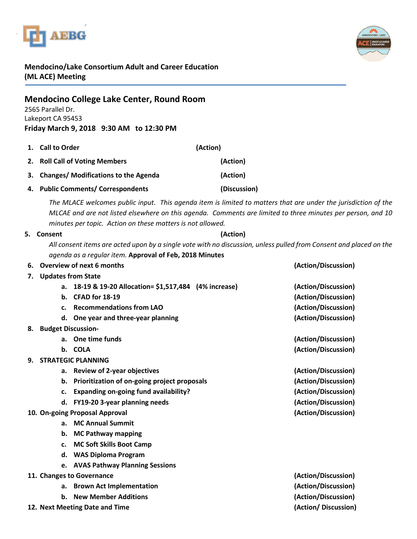



## **Mendocino/Lake Consortium Adult and Career Education (ML ACE) Meeting**

| <b>Mendocino College Lake Center, Round Room</b><br>2565 Parallel Dr.<br>Lakeport CA 95453<br>Friday March 9, 2018 9:30 AM to 12:30 PM |                                                                                                                                                                                                                                                                                                                       |              |                     |
|----------------------------------------------------------------------------------------------------------------------------------------|-----------------------------------------------------------------------------------------------------------------------------------------------------------------------------------------------------------------------------------------------------------------------------------------------------------------------|--------------|---------------------|
| 1.                                                                                                                                     | <b>Call to Order</b>                                                                                                                                                                                                                                                                                                  | (Action)     |                     |
| 2.                                                                                                                                     | <b>Roll Call of Voting Members</b>                                                                                                                                                                                                                                                                                    | (Action)     |                     |
| З.                                                                                                                                     | <b>Changes/ Modifications to the Agenda</b>                                                                                                                                                                                                                                                                           | (Action)     |                     |
| 4.                                                                                                                                     | <b>Public Comments/ Correspondents</b>                                                                                                                                                                                                                                                                                | (Discussion) |                     |
|                                                                                                                                        | The MLACE welcomes public input. This agenda item is limited to matters that are under the jurisdiction of the<br>MLCAE and are not listed elsewhere on this agenda. Comments are limited to three minutes per person, and 10<br>minutes per topic. Action on these matters is not allowed.<br>(Action)<br>5. Consent |              |                     |
|                                                                                                                                        | All consent items are acted upon by a single vote with no discussion, unless pulled from Consent and placed on the<br>agenda as a regular item. Approval of Feb, 2018 Minutes                                                                                                                                         |              |                     |
| 6.                                                                                                                                     | Overview of next 6 months                                                                                                                                                                                                                                                                                             |              | (Action/Discussion) |
| 7.                                                                                                                                     | <b>Updates from State</b>                                                                                                                                                                                                                                                                                             |              |                     |
|                                                                                                                                        | a. 18-19 & 19-20 Allocation= \$1,517,484 (4% increase)                                                                                                                                                                                                                                                                |              | (Action/Discussion) |
|                                                                                                                                        | b. CFAD for 18-19                                                                                                                                                                                                                                                                                                     |              | (Action/Discussion) |
|                                                                                                                                        | <b>Recommendations from LAO</b><br>$c_{\cdot}$                                                                                                                                                                                                                                                                        |              | (Action/Discussion) |
|                                                                                                                                        | d. One year and three-year planning                                                                                                                                                                                                                                                                                   |              | (Action/Discussion) |
|                                                                                                                                        | 8. Budget Discussion-                                                                                                                                                                                                                                                                                                 |              |                     |
|                                                                                                                                        | a. One time funds                                                                                                                                                                                                                                                                                                     |              | (Action/Discussion) |
|                                                                                                                                        | b. COLA                                                                                                                                                                                                                                                                                                               |              | (Action/Discussion) |
| 9.                                                                                                                                     | <b>STRATEGIC PLANNING</b>                                                                                                                                                                                                                                                                                             |              |                     |
|                                                                                                                                        | a. Review of 2-year objectives                                                                                                                                                                                                                                                                                        |              | (Action/Discussion) |
|                                                                                                                                        | b. Prioritization of on-going project proposals                                                                                                                                                                                                                                                                       |              | (Action/Discussion) |
|                                                                                                                                        | c. Expanding on-going fund availability?                                                                                                                                                                                                                                                                              |              | (Action/Discussion) |
|                                                                                                                                        | d. FY19-20 3-year planning needs                                                                                                                                                                                                                                                                                      |              | (Action/Discussion) |
| (Action/Discussion)<br>10. On-going Proposal Approval                                                                                  |                                                                                                                                                                                                                                                                                                                       |              |                     |
|                                                                                                                                        | a. MC Annual Summit                                                                                                                                                                                                                                                                                                   |              |                     |
|                                                                                                                                        | <b>MC Pathway mapping</b><br>b.                                                                                                                                                                                                                                                                                       |              |                     |
|                                                                                                                                        | <b>MC Soft Skills Boot Camp</b><br>c.                                                                                                                                                                                                                                                                                 |              |                     |
|                                                                                                                                        | <b>WAS Diploma Program</b><br>d.                                                                                                                                                                                                                                                                                      |              |                     |
|                                                                                                                                        | e. AVAS Pathway Planning Sessions                                                                                                                                                                                                                                                                                     |              |                     |
| (Action/Discussion)<br>11. Changes to Governance                                                                                       |                                                                                                                                                                                                                                                                                                                       |              |                     |
|                                                                                                                                        | a. Brown Act Implementation                                                                                                                                                                                                                                                                                           |              | (Action/Discussion) |
|                                                                                                                                        | b. New Member Additions                                                                                                                                                                                                                                                                                               |              | (Action/Discussion) |
|                                                                                                                                        | 12. Next Meeting Date and Time                                                                                                                                                                                                                                                                                        |              | (Action/Discussion) |